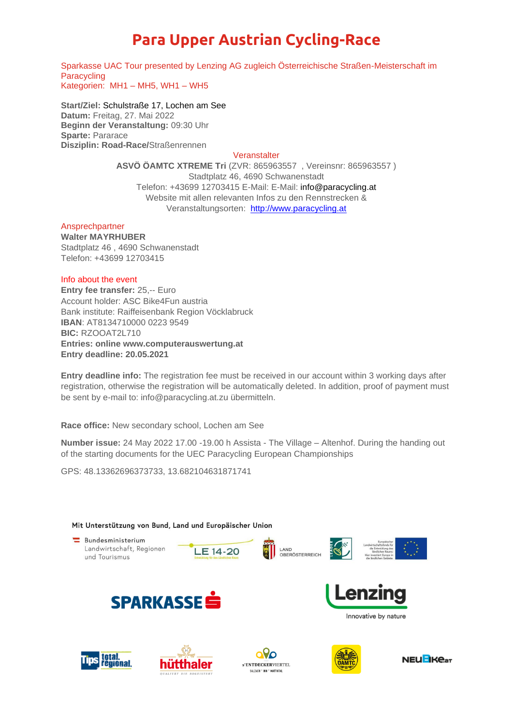# **Para Upper Austrian Cycling-Race**

Sparkasse UAC Tour presented by Lenzing AG zugleich Österreichische Straßen-Meisterschaft im **Paracycling** Kategorien: MH1 – MH5, WH1 – WH5

**Start/Ziel:** Schulstraße 17, Lochen am See **Datum:** Freitag, 27. Mai 2022 **Beginn der Veranstaltung:** 09:30 Uhr **Sparte:** Pararace **Disziplin: Road-Race/**Straßenrennen

### **Veranstalter**

**ASVÖ ÖAMTC XTREME Tri** (ZVR: 865963557 , Vereinsnr: 865963557 ) Stadtplatz 46, 4690 Schwanenstadt Telefon: +43699 12703415 E-Mail: E-Mail: info@paracycling.at Website mit allen relevanten Infos zu den Rennstrecken & Veranstaltungsorten: [http://www.paracycling.at](http://www.paracycling.at.at/)

Ansprechpartner

**Walter MAYRHUBER** Stadtplatz 46 , 4690 Schwanenstadt Telefon: +43699 12703415

#### Info about the event

**Entry fee transfer:** 25,-- Euro Account holder: ASC Bike4Fun austria Bank institute: Raiffeisenbank Region Vöcklabruck **IBAN**: AT8134710000 0223 9549 **BIC:** RZOOAT2L710 **Entries: online www.computerauswertung.at Entry deadline: 20.05.2021**

**Entry deadline info:** The registration fee must be received in our account within 3 working days after registration, otherwise the registration will be automatically deleted. In addition, proof of payment must be sent by e-mail to: info@paracycling.at.zu übermitteln.

**Race office:** New secondary school, Lochen am See

**Number issue:** 24 May 2022 17.00 -19.00 h Assista - The Village – Altenhof. During the handing out of the starting documents for the UEC Paracycling European Championships

GPS: 48.13362696373733, 13.682104631871741